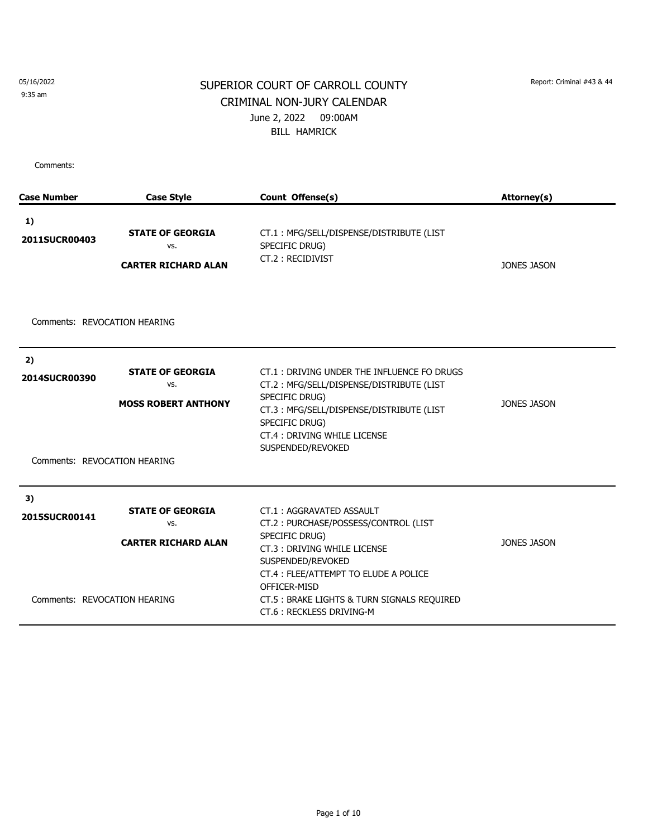9:35 am

# SUPERIOR COURT OF CARROLL COUNTY Report: Criminal #43 & 44 CRIMINAL NON-JURY CALENDAR June 2, 2022 09:00AM BILL HAMRICK

| <b>Case Number</b>                                  | <b>Case Style</b>                                            | Count Offense(s)                                                                                                                                                                                                                                                           | Attorney(s)        |
|-----------------------------------------------------|--------------------------------------------------------------|----------------------------------------------------------------------------------------------------------------------------------------------------------------------------------------------------------------------------------------------------------------------------|--------------------|
| 1)<br>2011SUCR00403                                 | <b>STATE OF GEORGIA</b><br>VS.<br><b>CARTER RICHARD ALAN</b> | CT.1: MFG/SELL/DISPENSE/DISTRIBUTE (LIST<br>SPECIFIC DRUG)<br>CT.2: RECIDIVIST                                                                                                                                                                                             | <b>JONES JASON</b> |
| Comments: REVOCATION HEARING                        |                                                              |                                                                                                                                                                                                                                                                            |                    |
| 2)<br>2014SUCR00390<br>Comments: REVOCATION HEARING | <b>STATE OF GEORGIA</b><br>VS.<br><b>MOSS ROBERT ANTHONY</b> | CT.1: DRIVING UNDER THE INFLUENCE FO DRUGS<br>CT.2: MFG/SELL/DISPENSE/DISTRIBUTE (LIST<br>SPECIFIC DRUG)<br>CT.3: MFG/SELL/DISPENSE/DISTRIBUTE (LIST<br>SPECIFIC DRUG)<br>CT.4: DRIVING WHILE LICENSE<br>SUSPENDED/REVOKED                                                 | <b>JONES JASON</b> |
| 3)<br>2015SUCR00141<br>Comments: REVOCATION HEARING | <b>STATE OF GEORGIA</b><br>VS.<br><b>CARTER RICHARD ALAN</b> | CT.1: AGGRAVATED ASSAULT<br>CT.2: PURCHASE/POSSESS/CONTROL (LIST<br>SPECIFIC DRUG)<br>CT.3: DRIVING WHILE LICENSE<br>SUSPENDED/REVOKED<br>CT.4 : FLEE/ATTEMPT TO ELUDE A POLICE<br>OFFICER-MISD<br>CT.5 : BRAKE LIGHTS & TURN SIGNALS REQUIRED<br>CT.6: RECKLESS DRIVING-M | <b>JONES JASON</b> |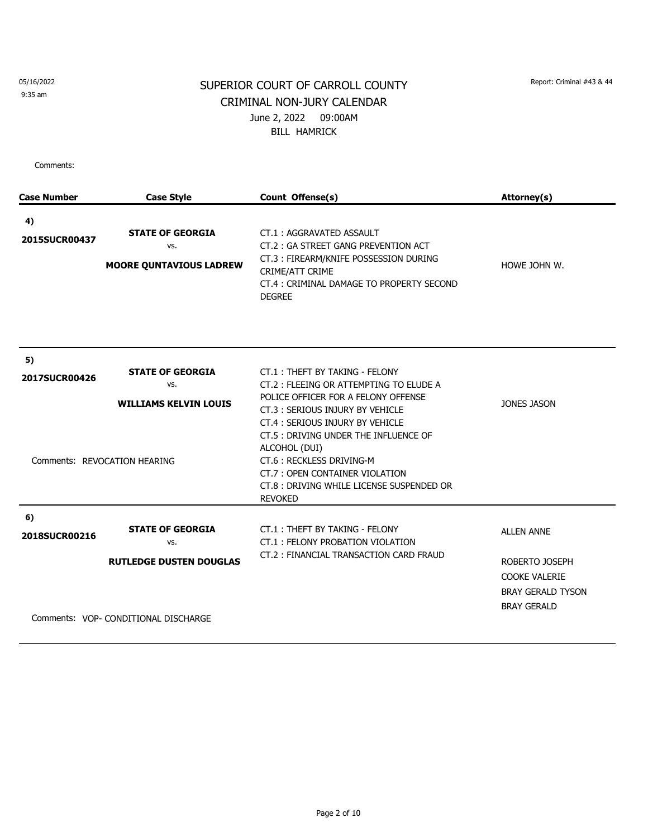9:35 am

# SUPERIOR COURT OF CARROLL COUNTY Report: Criminal #43 & 44 CRIMINAL NON-JURY CALENDAR June 2, 2022 09:00AM BILL HAMRICK

| <b>Case Number</b>  | <b>Case Style</b>                                                                                        | Count Offense(s)                                                                                                                                                                                                                                                                                                                                                              | Attorney(s)                                                                                                   |
|---------------------|----------------------------------------------------------------------------------------------------------|-------------------------------------------------------------------------------------------------------------------------------------------------------------------------------------------------------------------------------------------------------------------------------------------------------------------------------------------------------------------------------|---------------------------------------------------------------------------------------------------------------|
| 4)<br>2015SUCR00437 | <b>STATE OF GEORGIA</b><br>VS.<br><b>MOORE QUNTAVIOUS LADREW</b>                                         | CT.1: AGGRAVATED ASSAULT<br>CT.2: GA STREET GANG PREVENTION ACT<br>CT.3: FIREARM/KNIFE POSSESSION DURING<br>CRIME/ATT CRIME<br>CT.4 : CRIMINAL DAMAGE TO PROPERTY SECOND<br><b>DEGREE</b>                                                                                                                                                                                     | HOWE JOHN W.                                                                                                  |
| 5)<br>2017SUCR00426 | <b>STATE OF GEORGIA</b><br>VS.<br><b>WILLIAMS KELVIN LOUIS</b><br>Comments: REVOCATION HEARING           | CT.1: THEFT BY TAKING - FELONY<br>CT.2 : FLEEING OR ATTEMPTING TO ELUDE A<br>POLICE OFFICER FOR A FELONY OFFENSE<br>CT.3: SERIOUS INJURY BY VEHICLE<br>CT.4: SERIOUS INJURY BY VEHICLE<br>CT.5 : DRIVING UNDER THE INFLUENCE OF<br>ALCOHOL (DUI)<br>CT.6: RECKLESS DRIVING-M<br>CT.7: OPEN CONTAINER VIOLATION<br>CT.8 : DRIVING WHILE LICENSE SUSPENDED OR<br><b>REVOKED</b> | JONES JASON                                                                                                   |
| 6)<br>2018SUCR00216 | <b>STATE OF GEORGIA</b><br>VS.<br><b>RUTLEDGE DUSTEN DOUGLAS</b><br>Comments: VOP- CONDITIONAL DISCHARGE | CT.1: THEFT BY TAKING - FELONY<br>CT.1: FELONY PROBATION VIOLATION<br>CT.2: FINANCIAL TRANSACTION CARD FRAUD                                                                                                                                                                                                                                                                  | <b>ALLEN ANNE</b><br>ROBERTO JOSEPH<br><b>COOKE VALERIE</b><br><b>BRAY GERALD TYSON</b><br><b>BRAY GERALD</b> |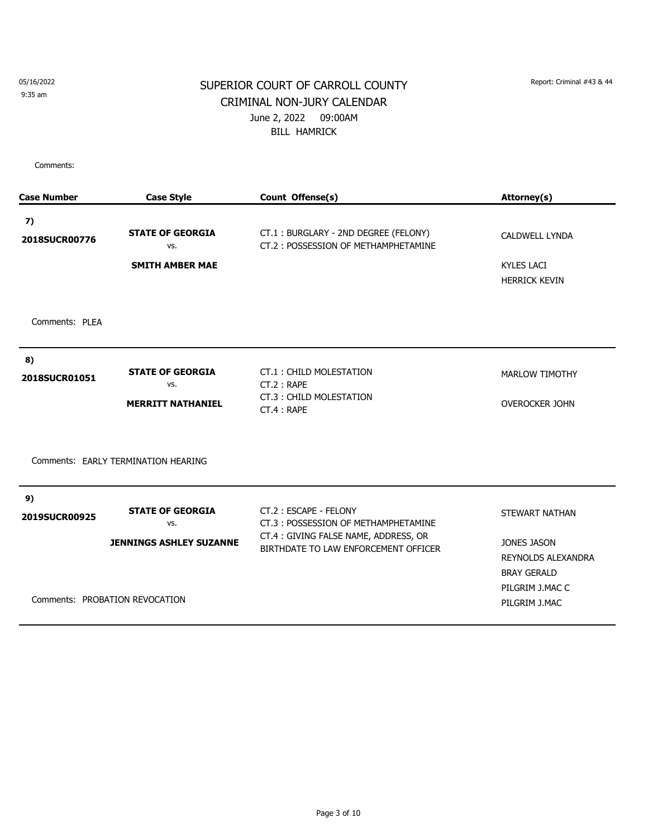9:35 am

# SUPERIOR COURT OF CARROLL COUNTY Report: Criminal #43 & 44 CRIMINAL NON-JURY CALENDAR June 2, 2022 09:00AM BILL HAMRICK

| <b>Case Number</b> | <b>Case Style</b>                   | Count Offense(s)                                                             | Attorney(s)                           |
|--------------------|-------------------------------------|------------------------------------------------------------------------------|---------------------------------------|
| 7)                 |                                     |                                                                              |                                       |
| 2018SUCR00776      | <b>STATE OF GEORGIA</b><br>VS.      | CT.1: BURGLARY - 2ND DEGREE (FELONY)<br>CT.2: POSSESSION OF METHAMPHETAMINE  | <b>CALDWELL LYNDA</b>                 |
|                    | <b>SMITH AMBER MAE</b>              |                                                                              | <b>KYLES LACI</b>                     |
|                    |                                     |                                                                              | <b>HERRICK KEVIN</b>                  |
| Comments: PLEA     |                                     |                                                                              |                                       |
| 8)                 |                                     |                                                                              |                                       |
| 2018SUCR01051      | <b>STATE OF GEORGIA</b><br>VS.      | CT.1: CHILD MOLESTATION<br>CT.2: RAPE                                        | <b>MARLOW TIMOTHY</b>                 |
|                    | <b>MERRITT NATHANIEL</b>            | CT.3: CHILD MOLESTATION<br>CT.4 : RAPE                                       | <b>OVEROCKER JOHN</b>                 |
|                    | Comments: EARLY TERMINATION HEARING |                                                                              |                                       |
| 9)                 |                                     |                                                                              |                                       |
| 2019SUCR00925      | <b>STATE OF GEORGIA</b><br>VS.      | CT.2: ESCAPE - FELONY<br>CT.3: POSSESSION OF METHAMPHETAMINE                 | STEWART NATHAN                        |
|                    | <b>JENNINGS ASHLEY SUZANNE</b>      | CT.4: GIVING FALSE NAME, ADDRESS, OR<br>BIRTHDATE TO LAW ENFORCEMENT OFFICER | JONES JASON                           |
|                    |                                     |                                                                              | <b>REYNOLDS ALEXANDRA</b>             |
|                    |                                     |                                                                              | <b>BRAY GERALD</b><br>PILGRIM J.MAC C |
|                    | Comments: PROBATION REVOCATION      |                                                                              | PILGRIM J.MAC                         |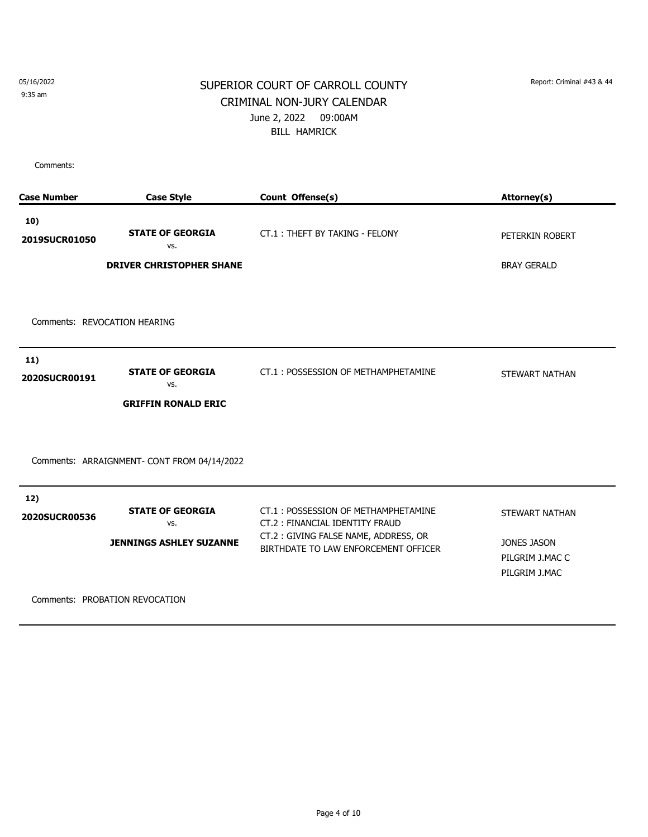9:35 am

### SUPERIOR COURT OF CARROLL COUNTY Report: Criminal #43 & 44 CRIMINAL NON-JURY CALENDAR June 2, 2022 09:00AM BILL HAMRICK

| <b>Case Number</b>           | <b>Case Style</b>                           | Count Offense(s)                                                             | Attorney(s)                                     |
|------------------------------|---------------------------------------------|------------------------------------------------------------------------------|-------------------------------------------------|
| 10)<br>2019SUCR01050         | <b>STATE OF GEORGIA</b><br>VS.              | CT.1: THEFT BY TAKING - FELONY                                               | PETERKIN ROBERT                                 |
|                              | <b>DRIVER CHRISTOPHER SHANE</b>             |                                                                              | <b>BRAY GERALD</b>                              |
|                              |                                             |                                                                              |                                                 |
| Comments: REVOCATION HEARING |                                             |                                                                              |                                                 |
| 11)<br>2020SUCR00191         | <b>STATE OF GEORGIA</b><br>VS.              | CT.1: POSSESSION OF METHAMPHETAMINE                                          | STEWART NATHAN                                  |
|                              | <b>GRIFFIN RONALD ERIC</b>                  |                                                                              |                                                 |
|                              | Comments: ARRAIGNMENT- CONT FROM 04/14/2022 |                                                                              |                                                 |
| 12)<br>2020SUCR00536         | <b>STATE OF GEORGIA</b><br>VS.              | CT.1: POSSESSION OF METHAMPHETAMINE<br>CT.2: FINANCIAL IDENTITY FRAUD        | <b>STEWART NATHAN</b>                           |
|                              | <b>JENNINGS ASHLEY SUZANNE</b>              | CT.2: GIVING FALSE NAME, ADDRESS, OR<br>BIRTHDATE TO LAW ENFORCEMENT OFFICER | JONES JASON<br>PILGRIM J.MAC C<br>PILGRIM J.MAC |
|                              | Comments: PROBATION REVOCATION              |                                                                              |                                                 |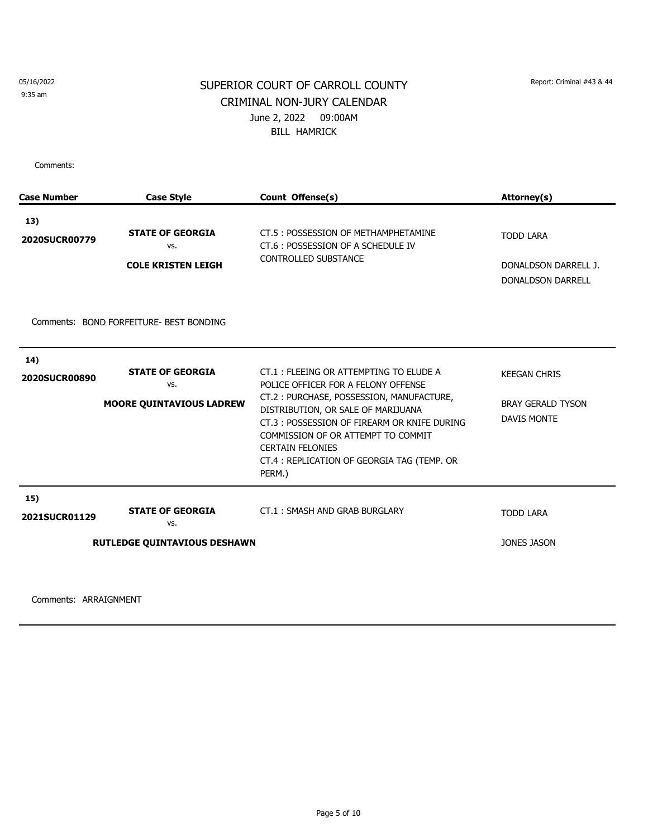#### 9:35 am

## SUPERIOR COURT OF CARROLL COUNTY Report: Criminal #43 & 44 CRIMINAL NON-JURY CALENDAR June 2, 2022 09:00AM BILL HAMRICK

Comments:

| <b>Case Number</b>          | <b>Case Style</b>                                                     | Count Offense(s)                                                                                                                                                                                                                                                                                                                         | Attorney(s)                                                           |
|-----------------------------|-----------------------------------------------------------------------|------------------------------------------------------------------------------------------------------------------------------------------------------------------------------------------------------------------------------------------------------------------------------------------------------------------------------------------|-----------------------------------------------------------------------|
| 13)<br>2020SUCR00779        | <b>STATE OF GEORGIA</b><br>VS.<br><b>COLE KRISTEN LEIGH</b>           | CT.5: POSSESSION OF METHAMPHETAMINE<br>CT.6: POSSESSION OF A SCHEDULE IV<br><b>CONTROLLED SUBSTANCE</b>                                                                                                                                                                                                                                  | <b>TODD LARA</b><br>DONALDSON DARRELL J.<br><b>DONALDSON DARRELL</b>  |
|                             | Comments: BOND FORFEITURE-BEST BONDING                                |                                                                                                                                                                                                                                                                                                                                          |                                                                       |
| 14)<br><b>2020SUCR00890</b> | <b>STATE OF GEORGIA</b><br>VS.<br><b>MOORE QUINTAVIOUS LADREW</b>     | CT.1: FLEEING OR ATTEMPTING TO ELUDE A<br>POLICE OFFICER FOR A FELONY OFFENSE<br>CT.2: PURCHASE, POSSESSION, MANUFACTURE,<br>DISTRIBUTION, OR SALE OF MARIJUANA<br>CT.3: POSSESSION OF FIREARM OR KNIFE DURING<br>COMMISSION OF OR ATTEMPT TO COMMIT<br><b>CERTAIN FELONIES</b><br>CT.4 : REPLICATION OF GEORGIA TAG (TEMP. OR<br>PERM.) | <b>KEEGAN CHRIS</b><br><b>BRAY GERALD TYSON</b><br><b>DAVIS MONTE</b> |
| 15)<br>2021SUCR01129        | <b>STATE OF GEORGIA</b><br>VS.<br><b>RUTLEDGE QUINTAVIOUS DESHAWN</b> | CT.1: SMASH AND GRAB BURGLARY                                                                                                                                                                                                                                                                                                            | <b>TODD LARA</b><br><b>JONES JASON</b>                                |
|                             |                                                                       |                                                                                                                                                                                                                                                                                                                                          |                                                                       |

Comments: ARRAIGNMENT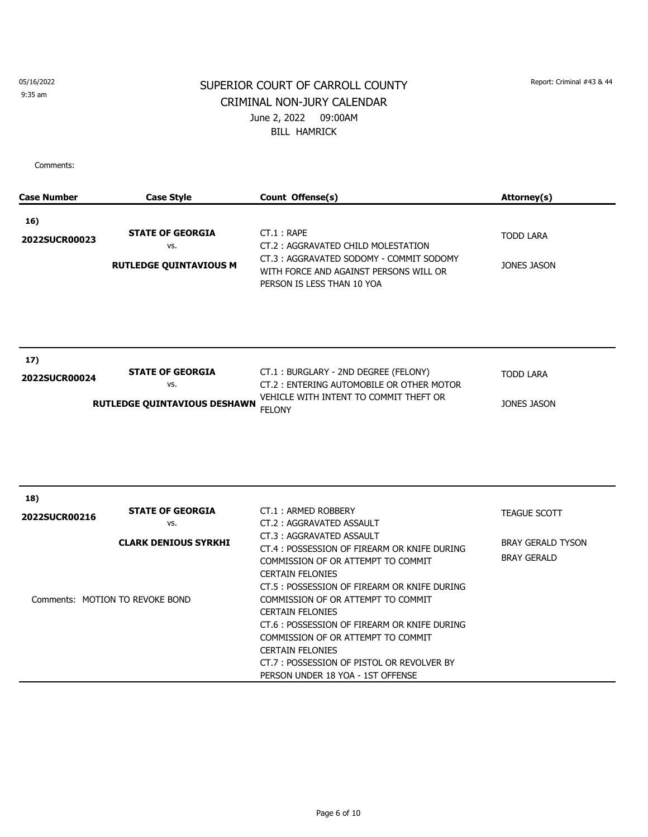9:35 am

# SUPERIOR COURT OF CARROLL COUNTY Report: Criminal #43 & 44 CRIMINAL NON-JURY CALENDAR June 2, 2022 09:00AM BILL HAMRICK

| <b>Case Number</b>   | <b>Case Style</b>                                                                                | Count Offense(s)                                                                                                                                                                                                                                                                                                                                                                                                                                                                                                 | Attorney(s)                                                           |
|----------------------|--------------------------------------------------------------------------------------------------|------------------------------------------------------------------------------------------------------------------------------------------------------------------------------------------------------------------------------------------------------------------------------------------------------------------------------------------------------------------------------------------------------------------------------------------------------------------------------------------------------------------|-----------------------------------------------------------------------|
| 16)<br>2022SUCR00023 | <b>STATE OF GEORGIA</b><br>VS.<br><b>RUTLEDGE QUINTAVIOUS M</b>                                  | $CT.1$ : RAPE<br>CT.2: AGGRAVATED CHILD MOLESTATION<br>CT.3: AGGRAVATED SODOMY - COMMIT SODOMY<br>WITH FORCE AND AGAINST PERSONS WILL OR<br>PERSON IS LESS THAN 10 YOA                                                                                                                                                                                                                                                                                                                                           | <b>TODD LARA</b><br><b>JONES JASON</b>                                |
| 17)<br>2022SUCR00024 | <b>STATE OF GEORGIA</b><br>VS.<br><b>RUTLEDGE QUINTAVIOUS DESHAWN</b>                            | CT.1: BURGLARY - 2ND DEGREE (FELONY)<br>CT.2: ENTERING AUTOMOBILE OR OTHER MOTOR<br>VEHICLE WITH INTENT TO COMMIT THEFT OR<br><b>FELONY</b>                                                                                                                                                                                                                                                                                                                                                                      | <b>TODD LARA</b><br>JONES JASON                                       |
| 18)<br>2022SUCR00216 | <b>STATE OF GEORGIA</b><br>VS.<br><b>CLARK DENIOUS SYRKHI</b><br>Comments: MOTION TO REVOKE BOND | CT.1: ARMED ROBBERY<br>CT.2: AGGRAVATED ASSAULT<br>CT.3: AGGRAVATED ASSAULT<br>CT.4 : POSSESSION OF FIREARM OR KNIFE DURING<br>COMMISSION OF OR ATTEMPT TO COMMIT<br><b>CERTAIN FELONIES</b><br>CT.5 : POSSESSION OF FIREARM OR KNIFE DURING<br>COMMISSION OF OR ATTEMPT TO COMMIT<br><b>CERTAIN FELONIES</b><br>CT.6 : POSSESSION OF FIREARM OR KNIFE DURING<br>COMMISSION OF OR ATTEMPT TO COMMIT<br><b>CERTAIN FELONIES</b><br>CT.7: POSSESSION OF PISTOL OR REVOLVER BY<br>PERSON UNDER 18 YOA - 1ST OFFENSE | <b>TEAGUE SCOTT</b><br><b>BRAY GERALD TYSON</b><br><b>BRAY GERALD</b> |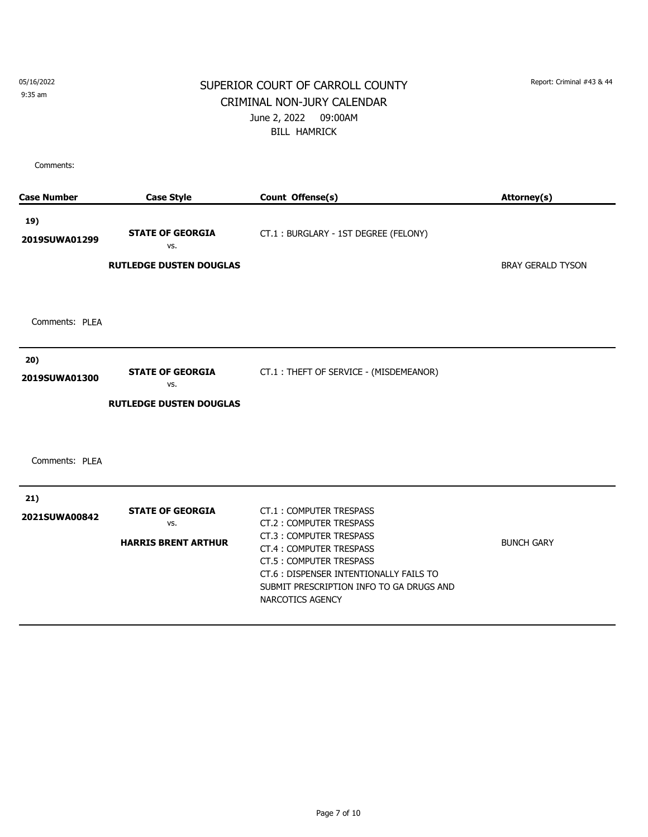9:35 am

# SUPERIOR COURT OF CARROLL COUNTY Report: Criminal #43 & 44 CRIMINAL NON-JURY CALENDAR June 2, 2022 09:00AM BILL HAMRICK

| <b>Case Number</b>   | <b>Case Style</b>                                                | Count Offense(s)                                                                                                                                                                                                                                       | Attorney(s)              |
|----------------------|------------------------------------------------------------------|--------------------------------------------------------------------------------------------------------------------------------------------------------------------------------------------------------------------------------------------------------|--------------------------|
| 19)<br>2019SUWA01299 | <b>STATE OF GEORGIA</b><br>VS.<br><b>RUTLEDGE DUSTEN DOUGLAS</b> | CT.1: BURGLARY - 1ST DEGREE (FELONY)                                                                                                                                                                                                                   | <b>BRAY GERALD TYSON</b> |
| Comments: PLEA       |                                                                  |                                                                                                                                                                                                                                                        |                          |
| 20)<br>2019SUWA01300 | <b>STATE OF GEORGIA</b><br>VS.<br><b>RUTLEDGE DUSTEN DOUGLAS</b> | CT.1: THEFT OF SERVICE - (MISDEMEANOR)                                                                                                                                                                                                                 |                          |
| Comments: PLEA       |                                                                  |                                                                                                                                                                                                                                                        |                          |
| 21)<br>2021SUWA00842 | <b>STATE OF GEORGIA</b><br>VS.<br><b>HARRIS BRENT ARTHUR</b>     | <b>CT.1: COMPUTER TRESPASS</b><br>CT.2: COMPUTER TRESPASS<br>CT.3: COMPUTER TRESPASS<br>CT.4 : COMPUTER TRESPASS<br>CT.5: COMPUTER TRESPASS<br>CT.6 : DISPENSER INTENTIONALLY FAILS TO<br>SUBMIT PRESCRIPTION INFO TO GA DRUGS AND<br>NARCOTICS AGENCY | <b>BUNCH GARY</b>        |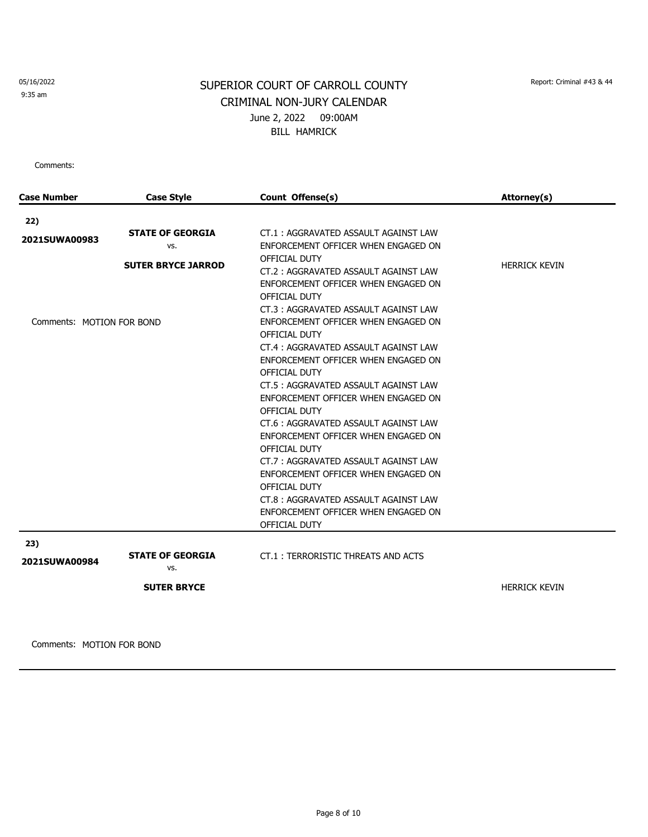9:35 am

# SUPERIOR COURT OF CARROLL COUNTY Report: Criminal #43 & 44 CRIMINAL NON-JURY CALENDAR June 2, 2022 09:00AM BILL HAMRICK

Comments:

| <b>Case Number</b>        | <b>Case Style</b>              | Count Offense(s)                     | Attorney(s)          |
|---------------------------|--------------------------------|--------------------------------------|----------------------|
| 22)                       |                                |                                      |                      |
|                           | <b>STATE OF GEORGIA</b>        | CT.1: AGGRAVATED ASSAULT AGAINST LAW |                      |
| 2021SUWA00983             | VS.                            | ENFORCEMENT OFFICER WHEN ENGAGED ON  |                      |
|                           |                                | OFFICIAL DUTY                        | <b>HERRICK KEVIN</b> |
|                           | <b>SUTER BRYCE JARROD</b>      | CT.2: AGGRAVATED ASSAULT AGAINST LAW |                      |
|                           |                                | ENFORCEMENT OFFICER WHEN ENGAGED ON  |                      |
|                           |                                | OFFICIAL DUTY                        |                      |
|                           |                                | CT.3: AGGRAVATED ASSAULT AGAINST LAW |                      |
| Comments: MOTION FOR BOND |                                | ENFORCEMENT OFFICER WHEN ENGAGED ON  |                      |
|                           |                                | OFFICIAL DUTY                        |                      |
|                           |                                | CT.4: AGGRAVATED ASSAULT AGAINST LAW |                      |
|                           |                                | ENFORCEMENT OFFICER WHEN ENGAGED ON  |                      |
|                           |                                | OFFICIAL DUTY                        |                      |
|                           |                                | CT.5: AGGRAVATED ASSAULT AGAINST LAW |                      |
|                           |                                | ENFORCEMENT OFFICER WHEN ENGAGED ON  |                      |
|                           |                                | OFFICIAL DUTY                        |                      |
|                           |                                | CT.6: AGGRAVATED ASSAULT AGAINST LAW |                      |
|                           |                                | ENFORCEMENT OFFICER WHEN ENGAGED ON  |                      |
|                           |                                | OFFICIAL DUTY                        |                      |
|                           |                                | CT.7: AGGRAVATED ASSAULT AGAINST LAW |                      |
|                           |                                | ENFORCEMENT OFFICER WHEN ENGAGED ON  |                      |
|                           |                                | OFFICIAL DUTY                        |                      |
|                           |                                | CT.8: AGGRAVATED ASSAULT AGAINST LAW |                      |
|                           |                                | ENFORCEMENT OFFICER WHEN ENGAGED ON  |                      |
|                           |                                | OFFICIAL DUTY                        |                      |
| 23)                       |                                |                                      |                      |
| 2021SUWA00984             | <b>STATE OF GEORGIA</b><br>VS. | CT.1: TERRORISTIC THREATS AND ACTS   |                      |
|                           |                                |                                      |                      |
|                           | <b>SUTER BRYCE</b>             |                                      | <b>HERRICK KEVIN</b> |
|                           |                                |                                      |                      |
|                           |                                |                                      |                      |

Comments: MOTION FOR BOND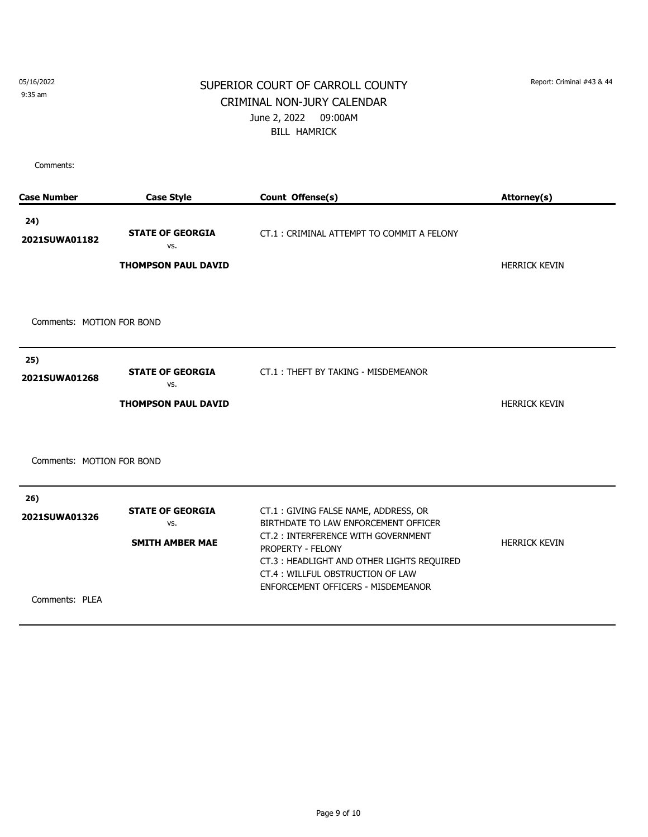9:35 am

## SUPERIOR COURT OF CARROLL COUNTY Report: Criminal #43 & 44 CRIMINAL NON-JURY CALENDAR June 2, 2022 09:00AM BILL HAMRICK

| <b>Case Number</b>                     | <b>Case Style</b>                                            | Count Offense(s)                                                                                                                                                                                                                                               | Attorney(s)          |
|----------------------------------------|--------------------------------------------------------------|----------------------------------------------------------------------------------------------------------------------------------------------------------------------------------------------------------------------------------------------------------------|----------------------|
| 24)<br>2021SUWA01182                   | <b>STATE OF GEORGIA</b><br>VS.<br><b>THOMPSON PAUL DAVID</b> | CT.1: CRIMINAL ATTEMPT TO COMMIT A FELONY                                                                                                                                                                                                                      | <b>HERRICK KEVIN</b> |
| Comments: MOTION FOR BOND              |                                                              |                                                                                                                                                                                                                                                                |                      |
| 25)<br>2021SUWA01268                   | <b>STATE OF GEORGIA</b><br>VS.<br><b>THOMPSON PAUL DAVID</b> | CT.1: THEFT BY TAKING - MISDEMEANOR                                                                                                                                                                                                                            | <b>HERRICK KEVIN</b> |
| Comments: MOTION FOR BOND              |                                                              |                                                                                                                                                                                                                                                                |                      |
| 26)<br>2021SUWA01326<br>Comments: PLEA | <b>STATE OF GEORGIA</b><br>VS.<br><b>SMITH AMBER MAE</b>     | CT.1: GIVING FALSE NAME, ADDRESS, OR<br>BIRTHDATE TO LAW ENFORCEMENT OFFICER<br>CT.2: INTERFERENCE WITH GOVERNMENT<br>PROPERTY - FELONY<br>CT.3: HEADLIGHT AND OTHER LIGHTS REQUIRED<br>CT.4: WILLFUL OBSTRUCTION OF LAW<br>ENFORCEMENT OFFICERS - MISDEMEANOR | <b>HERRICK KEVIN</b> |